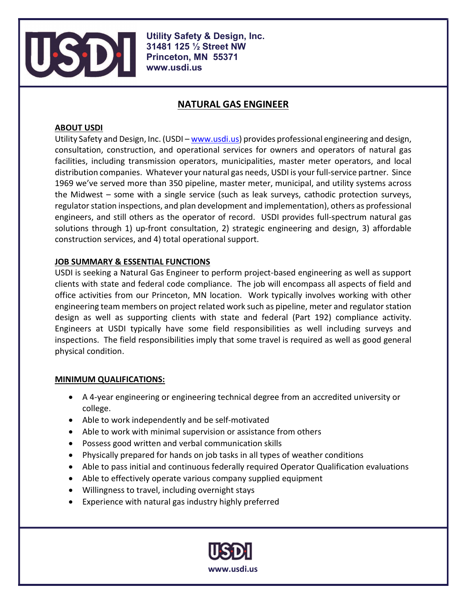

Utility Safety & Design, Inc. 31481 125 ½ Street NW Princeton, MN 55371 www.usdi.us

# NATURAL GAS ENGINEER

### ABOUT USDI

Utility Safety and Design, Inc. (USDI – www.usdi.us) provides professional engineering and design, consultation, construction, and operational services for owners and operators of natural gas facilities, including transmission operators, municipalities, master meter operators, and local distribution companies. Whatever your natural gas needs, USDI is your full-service partner. Since 1969 we've served more than 350 pipeline, master meter, municipal, and utility systems across the Midwest – some with a single service (such as leak surveys, cathodic protection surveys, regulator station inspections, and plan development and implementation), others as professional engineers, and still others as the operator of record. USDI provides full-spectrum natural gas solutions through 1) up-front consultation, 2) strategic engineering and design, 3) affordable construction services, and 4) total operational support.

## JOB SUMMARY & ESSENTIAL FUNCTIONS

USDI is seeking a Natural Gas Engineer to perform project-based engineering as well as support clients with state and federal code compliance. The job will encompass all aspects of field and office activities from our Princeton, MN location. Work typically involves working with other engineering team members on project related work such as pipeline, meter and regulator station design as well as supporting clients with state and federal (Part 192) compliance activity. Engineers at USDI typically have some field responsibilities as well including surveys and inspections. The field responsibilities imply that some travel is required as well as good general physical condition.

#### MINIMUM QUALIFICATIONS:

- A 4-year engineering or engineering technical degree from an accredited university or college.
- Able to work independently and be self-motivated
- Able to work with minimal supervision or assistance from others
- Possess good written and verbal communication skills
- Physically prepared for hands on job tasks in all types of weather conditions
- Able to pass initial and continuous federally required Operator Qualification evaluations
- Able to effectively operate various company supplied equipment
- Willingness to travel, including overnight stays
- Experience with natural gas industry highly preferred